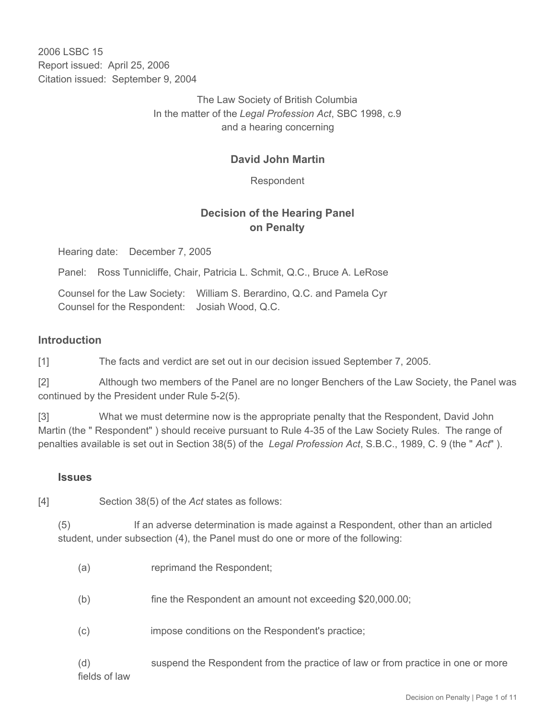2006 LSBC 15 Report issued: April 25, 2006 Citation issued: September 9, 2004

> The Law Society of British Columbia In the matter of the *Legal Profession Act*, SBC 1998, c.9 and a hearing concerning

## **David John Martin**

Respondent

## **Decision of the Hearing Panel on Penalty**

Hearing date: December 7, 2005

Panel: Ross Tunnicliffe, Chair, Patricia L. Schmit, Q.C., Bruce A. LeRose

Counsel for the Law Society: William S. Berardino, Q.C. and Pamela Cyr Counsel for the Respondent: Josiah Wood, Q.C.

#### **Introduction**

[1] The facts and verdict are set out in our decision issued September 7, 2005.

[2] Although two members of the Panel are no longer Benchers of the Law Society, the Panel was continued by the President under Rule 5-2(5).

[3] What we must determine now is the appropriate penalty that the Respondent, David John Martin (the " Respondent" ) should receive pursuant to Rule 4-35 of the Law Society Rules. The range of penalties available is set out in Section 38(5) of the *Legal Profession Act*, S.B.C., 1989, C. 9 (the " *Act*" ).

#### **Issues**

[4] Section 38(5) of the *Act* states as follows:

(5) If an adverse determination is made against a Respondent, other than an articled student, under subsection (4), the Panel must do one or more of the following:

- (b) fine the Respondent an amount not exceeding \$20,000.00;
- (c) impose conditions on the Respondent's practice;

(d) suspend the Respondent from the practice of law or from practice in one or more fields of law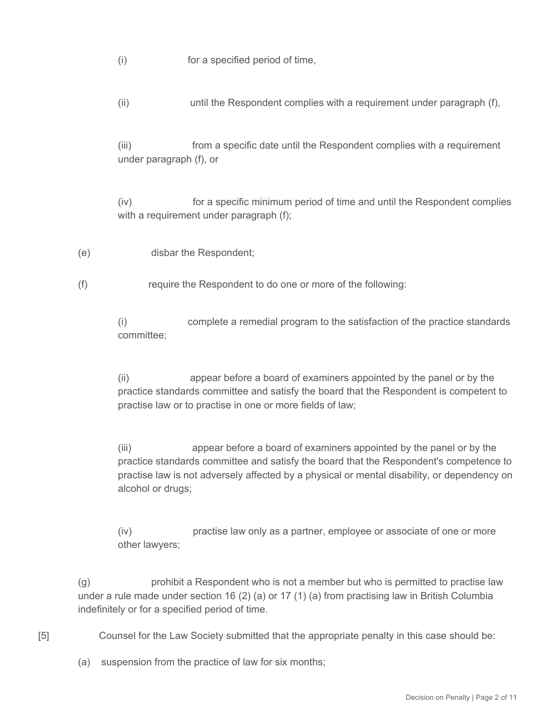(i) for a specified period of time,

(ii) until the Respondent complies with a requirement under paragraph (f),

(iii) from a specific date until the Respondent complies with a requirement under paragraph (f), or

(iv) for a specific minimum period of time and until the Respondent complies with a requirement under paragraph (f);

- (e) disbar the Respondent;
- (f) require the Respondent to do one or more of the following:

(i) complete a remedial program to the satisfaction of the practice standards committee;

(ii) appear before a board of examiners appointed by the panel or by the practice standards committee and satisfy the board that the Respondent is competent to practise law or to practise in one or more fields of law;

(iii) appear before a board of examiners appointed by the panel or by the practice standards committee and satisfy the board that the Respondent's competence to practise law is not adversely affected by a physical or mental disability, or dependency on alcohol or drugs;

(iv) practise law only as a partner, employee or associate of one or more other lawyers;

(g) prohibit a Respondent who is not a member but who is permitted to practise law under a rule made under section 16 (2) (a) or 17 (1) (a) from practising law in British Columbia indefinitely or for a specified period of time.

[5] Counsel for the Law Society submitted that the appropriate penalty in this case should be:

(a) suspension from the practice of law for six months;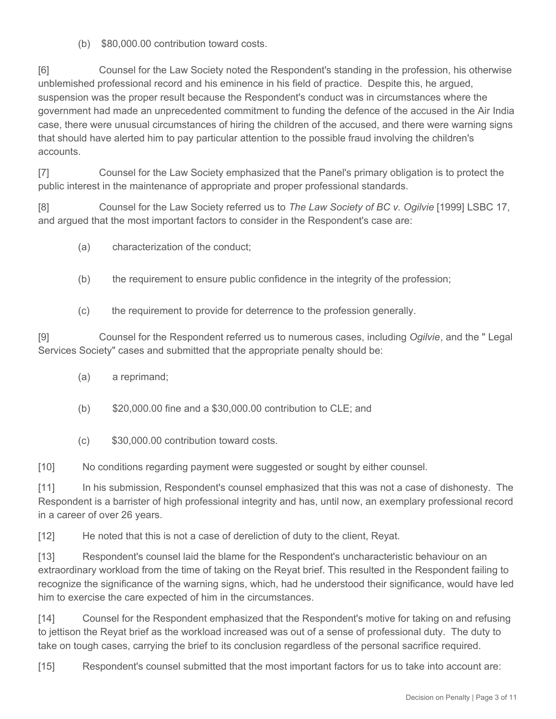(b) \$80,000.00 contribution toward costs.

[6] Counsel for the Law Society noted the Respondent's standing in the profession, his otherwise unblemished professional record and his eminence in his field of practice. Despite this, he argued, suspension was the proper result because the Respondent's conduct was in circumstances where the government had made an unprecedented commitment to funding the defence of the accused in the Air India case, there were unusual circumstances of hiring the children of the accused, and there were warning signs that should have alerted him to pay particular attention to the possible fraud involving the children's accounts.

[7] Counsel for the Law Society emphasized that the Panel's primary obligation is to protect the public interest in the maintenance of appropriate and proper professional standards.

[8] Counsel for the Law Society referred us to *The Law Society of BC v. Ogilvie* [1999] LSBC 17, and argued that the most important factors to consider in the Respondent's case are:

- (a) characterization of the conduct;
- (b) the requirement to ensure public confidence in the integrity of the profession;
- (c) the requirement to provide for deterrence to the profession generally.

[9] Counsel for the Respondent referred us to numerous cases, including *Ogilvie*, and the " Legal Services Society" cases and submitted that the appropriate penalty should be:

- (a) a reprimand;
- (b) \$20,000.00 fine and a \$30,000.00 contribution to CLE; and
- (c) \$30,000.00 contribution toward costs.

[10] No conditions regarding payment were suggested or sought by either counsel.

[11] In his submission, Respondent's counsel emphasized that this was not a case of dishonesty. The Respondent is a barrister of high professional integrity and has, until now, an exemplary professional record in a career of over 26 years.

[12] He noted that this is not a case of dereliction of duty to the client, Reyat.

[13] Respondent's counsel laid the blame for the Respondent's uncharacteristic behaviour on an extraordinary workload from the time of taking on the Reyat brief. This resulted in the Respondent failing to recognize the significance of the warning signs, which, had he understood their significance, would have led him to exercise the care expected of him in the circumstances.

[14] Counsel for the Respondent emphasized that the Respondent's motive for taking on and refusing to jettison the Reyat brief as the workload increased was out of a sense of professional duty. The duty to take on tough cases, carrying the brief to its conclusion regardless of the personal sacrifice required.

[15] Respondent's counsel submitted that the most important factors for us to take into account are: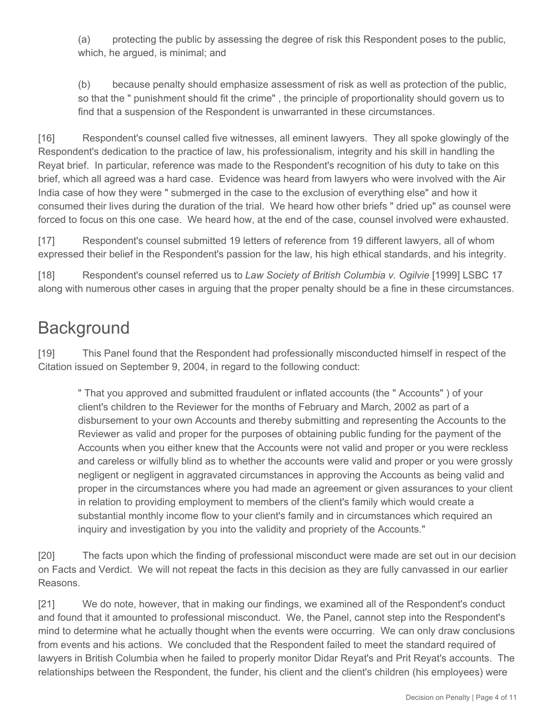(a) protecting the public by assessing the degree of risk this Respondent poses to the public, which, he argued, is minimal; and

(b) because penalty should emphasize assessment of risk as well as protection of the public, so that the " punishment should fit the crime" , the principle of proportionality should govern us to find that a suspension of the Respondent is unwarranted in these circumstances.

[16] Respondent's counsel called five witnesses, all eminent lawyers. They all spoke glowingly of the Respondent's dedication to the practice of law, his professionalism, integrity and his skill in handling the Reyat brief. In particular, reference was made to the Respondent's recognition of his duty to take on this brief, which all agreed was a hard case. Evidence was heard from lawyers who were involved with the Air India case of how they were " submerged in the case to the exclusion of everything else" and how it consumed their lives during the duration of the trial. We heard how other briefs " dried up" as counsel were forced to focus on this one case. We heard how, at the end of the case, counsel involved were exhausted.

[17] Respondent's counsel submitted 19 letters of reference from 19 different lawyers, all of whom expressed their belief in the Respondent's passion for the law, his high ethical standards, and his integrity.

[18] Respondent's counsel referred us to *Law Society of British Columbia v. Ogilvie* [1999] LSBC 17 along with numerous other cases in arguing that the proper penalty should be a fine in these circumstances.

# **Background**

[19] This Panel found that the Respondent had professionally misconducted himself in respect of the Citation issued on September 9, 2004, in regard to the following conduct:

" That you approved and submitted fraudulent or inflated accounts (the " Accounts" ) of your client's children to the Reviewer for the months of February and March, 2002 as part of a disbursement to your own Accounts and thereby submitting and representing the Accounts to the Reviewer as valid and proper for the purposes of obtaining public funding for the payment of the Accounts when you either knew that the Accounts were not valid and proper or you were reckless and careless or wilfully blind as to whether the accounts were valid and proper or you were grossly negligent or negligent in aggravated circumstances in approving the Accounts as being valid and proper in the circumstances where you had made an agreement or given assurances to your client in relation to providing employment to members of the client's family which would create a substantial monthly income flow to your client's family and in circumstances which required an inquiry and investigation by you into the validity and propriety of the Accounts."

[20] The facts upon which the finding of professional misconduct were made are set out in our decision on Facts and Verdict. We will not repeat the facts in this decision as they are fully canvassed in our earlier Reasons.

[21] We do note, however, that in making our findings, we examined all of the Respondent's conduct and found that it amounted to professional misconduct. We, the Panel, cannot step into the Respondent's mind to determine what he actually thought when the events were occurring. We can only draw conclusions from events and his actions. We concluded that the Respondent failed to meet the standard required of lawyers in British Columbia when he failed to properly monitor Didar Reyat's and Prit Reyat's accounts. The relationships between the Respondent, the funder, his client and the client's children (his employees) were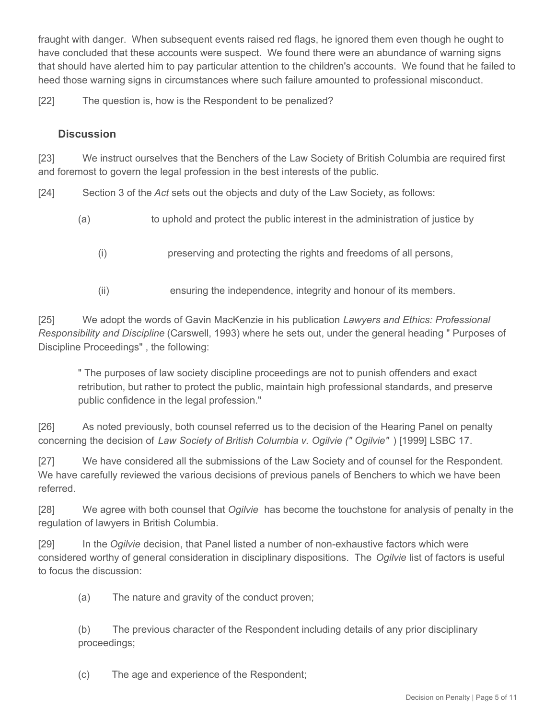fraught with danger. When subsequent events raised red flags, he ignored them even though he ought to have concluded that these accounts were suspect. We found there were an abundance of warning signs that should have alerted him to pay particular attention to the children's accounts. We found that he failed to heed those warning signs in circumstances where such failure amounted to professional misconduct.

[22] The question is, how is the Respondent to be penalized?

## **Discussion**

[23] We instruct ourselves that the Benchers of the Law Society of British Columbia are required first and foremost to govern the legal profession in the best interests of the public.

[24] Section 3 of the *Act* sets out the objects and duty of the Law Society, as follows:

- (a) to uphold and protect the public interest in the administration of justice by
	- (i) preserving and protecting the rights and freedoms of all persons,
	- (ii) ensuring the independence, integrity and honour of its members.

[25] We adopt the words of Gavin MacKenzie in his publication *Lawyers and Ethics: Professional Responsibility and Discipline* (Carswell, 1993) where he sets out, under the general heading " Purposes of Discipline Proceedings" , the following:

" The purposes of law society discipline proceedings are not to punish offenders and exact retribution, but rather to protect the public, maintain high professional standards, and preserve public confidence in the legal profession."

[26] As noted previously, both counsel referred us to the decision of the Hearing Panel on penalty concerning the decision of *Law Society of British Columbia v. Ogilvie (" Ogilvie"* ) [1999] LSBC 17.

[27] We have considered all the submissions of the Law Society and of counsel for the Respondent. We have carefully reviewed the various decisions of previous panels of Benchers to which we have been referred.

[28] We agree with both counsel that *Ogilvie* has become the touchstone for analysis of penalty in the regulation of lawyers in British Columbia.

[29] In the *Ogilvie* decision, that Panel listed a number of non-exhaustive factors which were considered worthy of general consideration in disciplinary dispositions. The *Ogilvie* list of factors is useful to focus the discussion:

(a) The nature and gravity of the conduct proven;

(b) The previous character of the Respondent including details of any prior disciplinary proceedings;

(c) The age and experience of the Respondent;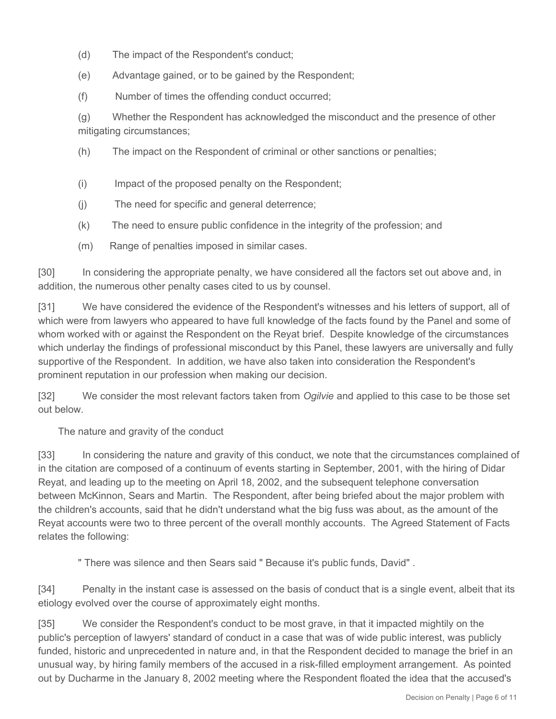- (d) The impact of the Respondent's conduct;
- (e) Advantage gained, or to be gained by the Respondent;
- (f) Number of times the offending conduct occurred;

(g) Whether the Respondent has acknowledged the misconduct and the presence of other mitigating circumstances;

- (h) The impact on the Respondent of criminal or other sanctions or penalties;
- (i) Impact of the proposed penalty on the Respondent;
- (j) The need for specific and general deterrence;
- (k) The need to ensure public confidence in the integrity of the profession; and
- (m) Range of penalties imposed in similar cases.

[30] In considering the appropriate penalty, we have considered all the factors set out above and, in addition, the numerous other penalty cases cited to us by counsel.

[31] We have considered the evidence of the Respondent's witnesses and his letters of support, all of which were from lawyers who appeared to have full knowledge of the facts found by the Panel and some of whom worked with or against the Respondent on the Reyat brief. Despite knowledge of the circumstances which underlay the findings of professional misconduct by this Panel, these lawyers are universally and fully supportive of the Respondent. In addition, we have also taken into consideration the Respondent's prominent reputation in our profession when making our decision.

[32] We consider the most relevant factors taken from *Ogilvie* and applied to this case to be those set out below.

The nature and gravity of the conduct

[33] In considering the nature and gravity of this conduct, we note that the circumstances complained of in the citation are composed of a continuum of events starting in September, 2001, with the hiring of Didar Reyat, and leading up to the meeting on April 18, 2002, and the subsequent telephone conversation between McKinnon, Sears and Martin. The Respondent, after being briefed about the major problem with the children's accounts, said that he didn't understand what the big fuss was about, as the amount of the Reyat accounts were two to three percent of the overall monthly accounts. The Agreed Statement of Facts relates the following:

" There was silence and then Sears said " Because it's public funds, David" .

[34] Penalty in the instant case is assessed on the basis of conduct that is a single event, albeit that its etiology evolved over the course of approximately eight months.

[35] We consider the Respondent's conduct to be most grave, in that it impacted mightily on the public's perception of lawyers' standard of conduct in a case that was of wide public interest, was publicly funded, historic and unprecedented in nature and, in that the Respondent decided to manage the brief in an unusual way, by hiring family members of the accused in a risk-filled employment arrangement. As pointed out by Ducharme in the January 8, 2002 meeting where the Respondent floated the idea that the accused's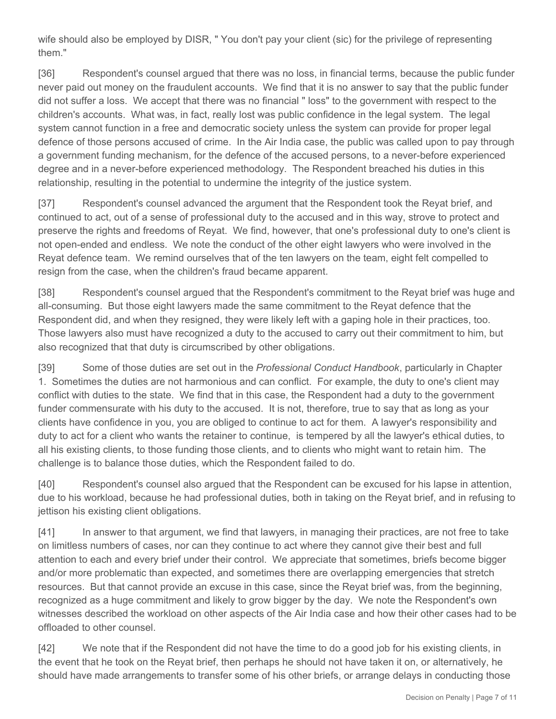wife should also be employed by DISR, " You don't pay your client (sic) for the privilege of representing them."

[36] Respondent's counsel argued that there was no loss, in financial terms, because the public funder never paid out money on the fraudulent accounts. We find that it is no answer to say that the public funder did not suffer a loss. We accept that there was no financial " loss" to the government with respect to the children's accounts. What was, in fact, really lost was public confidence in the legal system. The legal system cannot function in a free and democratic society unless the system can provide for proper legal defence of those persons accused of crime. In the Air India case, the public was called upon to pay through a government funding mechanism, for the defence of the accused persons, to a never-before experienced degree and in a never-before experienced methodology. The Respondent breached his duties in this relationship, resulting in the potential to undermine the integrity of the justice system.

[37] Respondent's counsel advanced the argument that the Respondent took the Reyat brief, and continued to act, out of a sense of professional duty to the accused and in this way, strove to protect and preserve the rights and freedoms of Reyat. We find, however, that one's professional duty to one's client is not open-ended and endless. We note the conduct of the other eight lawyers who were involved in the Reyat defence team. We remind ourselves that of the ten lawyers on the team, eight felt compelled to resign from the case, when the children's fraud became apparent.

[38] Respondent's counsel argued that the Respondent's commitment to the Reyat brief was huge and all-consuming. But those eight lawyers made the same commitment to the Reyat defence that the Respondent did, and when they resigned, they were likely left with a gaping hole in their practices, too. Those lawyers also must have recognized a duty to the accused to carry out their commitment to him, but also recognized that that duty is circumscribed by other obligations.

[39] Some of those duties are set out in the *Professional Conduct Handbook*, particularly in Chapter 1. Sometimes the duties are not harmonious and can conflict. For example, the duty to one's client may conflict with duties to the state. We find that in this case, the Respondent had a duty to the government funder commensurate with his duty to the accused. It is not, therefore, true to say that as long as your clients have confidence in you, you are obliged to continue to act for them. A lawyer's responsibility and duty to act for a client who wants the retainer to continue, is tempered by all the lawyer's ethical duties, to all his existing clients, to those funding those clients, and to clients who might want to retain him. The challenge is to balance those duties, which the Respondent failed to do.

[40] Respondent's counsel also argued that the Respondent can be excused for his lapse in attention, due to his workload, because he had professional duties, both in taking on the Reyat brief, and in refusing to jettison his existing client obligations.

[41] In answer to that argument, we find that lawyers, in managing their practices, are not free to take on limitless numbers of cases, nor can they continue to act where they cannot give their best and full attention to each and every brief under their control. We appreciate that sometimes, briefs become bigger and/or more problematic than expected, and sometimes there are overlapping emergencies that stretch resources. But that cannot provide an excuse in this case, since the Reyat brief was, from the beginning, recognized as a huge commitment and likely to grow bigger by the day. We note the Respondent's own witnesses described the workload on other aspects of the Air India case and how their other cases had to be offloaded to other counsel.

[42] We note that if the Respondent did not have the time to do a good job for his existing clients, in the event that he took on the Reyat brief, then perhaps he should not have taken it on, or alternatively, he should have made arrangements to transfer some of his other briefs, or arrange delays in conducting those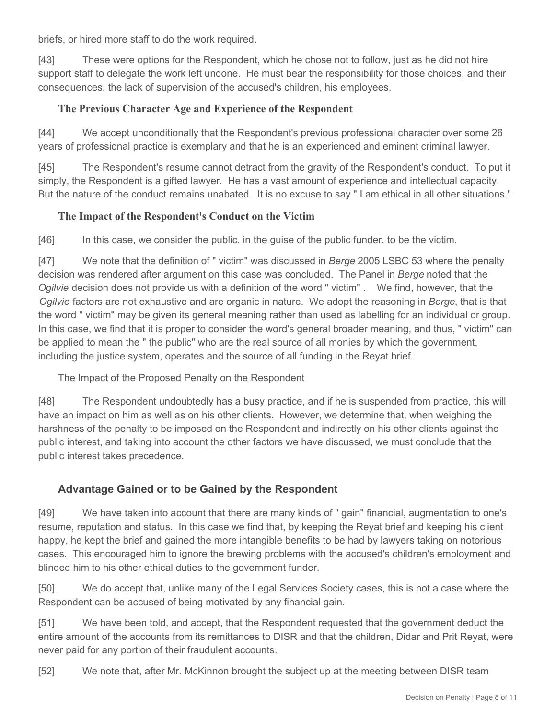briefs, or hired more staff to do the work required.

[43] These were options for the Respondent, which he chose not to follow, just as he did not hire support staff to delegate the work left undone. He must bear the responsibility for those choices, and their consequences, the lack of supervision of the accused's children, his employees.

#### **The Previous Character Age and Experience of the Respondent**

[44] We accept unconditionally that the Respondent's previous professional character over some 26 years of professional practice is exemplary and that he is an experienced and eminent criminal lawyer.

[45] The Respondent's resume cannot detract from the gravity of the Respondent's conduct. To put it simply, the Respondent is a gifted lawyer. He has a vast amount of experience and intellectual capacity. But the nature of the conduct remains unabated. It is no excuse to say " I am ethical in all other situations."

#### **The Impact of the Respondent's Conduct on the Victim**

[46] In this case, we consider the public, in the guise of the public funder, to be the victim.

[47] We note that the definition of " victim" was discussed in *Berge* 2005 LSBC 53 where the penalty decision was rendered after argument on this case was concluded. The Panel in *Berge* noted that the *Ogilvie* decision does not provide us with a definition of the word " victim" . We find, however, that the *Ogilvie* factors are not exhaustive and are organic in nature. We adopt the reasoning in *Berge*, that is that the word " victim" may be given its general meaning rather than used as labelling for an individual or group. In this case, we find that it is proper to consider the word's general broader meaning, and thus, " victim" can be applied to mean the " the public" who are the real source of all monies by which the government, including the justice system, operates and the source of all funding in the Reyat brief.

The Impact of the Proposed Penalty on the Respondent

[48] The Respondent undoubtedly has a busy practice, and if he is suspended from practice, this will have an impact on him as well as on his other clients. However, we determine that, when weighing the harshness of the penalty to be imposed on the Respondent and indirectly on his other clients against the public interest, and taking into account the other factors we have discussed, we must conclude that the public interest takes precedence.

## **Advantage Gained or to be Gained by the Respondent**

[49] We have taken into account that there are many kinds of " gain" financial, augmentation to one's resume, reputation and status. In this case we find that, by keeping the Reyat brief and keeping his client happy, he kept the brief and gained the more intangible benefits to be had by lawyers taking on notorious cases. This encouraged him to ignore the brewing problems with the accused's children's employment and blinded him to his other ethical duties to the government funder.

[50] We do accept that, unlike many of the Legal Services Society cases, this is not a case where the Respondent can be accused of being motivated by any financial gain.

[51] We have been told, and accept, that the Respondent requested that the government deduct the entire amount of the accounts from its remittances to DISR and that the children, Didar and Prit Reyat, were never paid for any portion of their fraudulent accounts.

[52] We note that, after Mr. McKinnon brought the subject up at the meeting between DISR team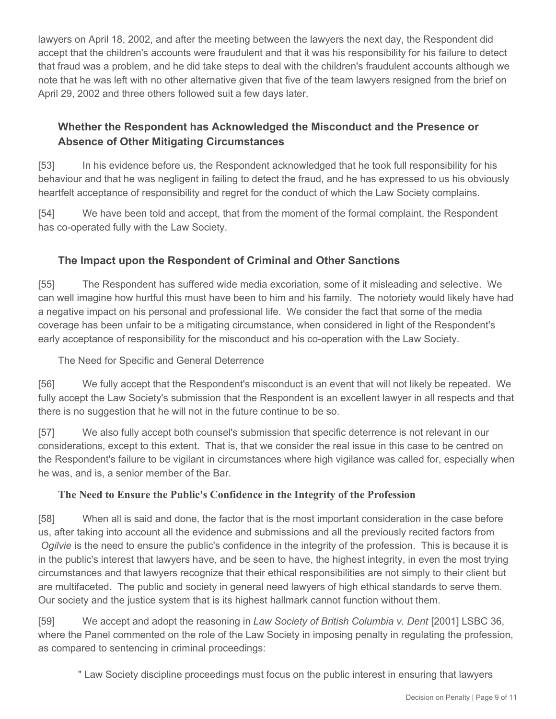lawyers on April 18, 2002, and after the meeting between the lawyers the next day, the Respondent did accept that the children's accounts were fraudulent and that it was his responsibility for his failure to detect that fraud was a problem, and he did take steps to deal with the children's fraudulent accounts although we note that he was left with no other alternative given that five of the team lawyers resigned from the brief on April 29, 2002 and three others followed suit a few days later.

# **Whether the Respondent has Acknowledged the Misconduct and the Presence or Absence of Other Mitigating Circumstances**

[53] In his evidence before us, the Respondent acknowledged that he took full responsibility for his behaviour and that he was negligent in failing to detect the fraud, and he has expressed to us his obviously heartfelt acceptance of responsibility and regret for the conduct of which the Law Society complains.

[54] We have been told and accept, that from the moment of the formal complaint, the Respondent has co-operated fully with the Law Society.

# **The Impact upon the Respondent of Criminal and Other Sanctions**

[55] The Respondent has suffered wide media excoriation, some of it misleading and selective. We can well imagine how hurtful this must have been to him and his family. The notoriety would likely have had a negative impact on his personal and professional life. We consider the fact that some of the media coverage has been unfair to be a mitigating circumstance, when considered in light of the Respondent's early acceptance of responsibility for the misconduct and his co-operation with the Law Society.

The Need for Specific and General Deterrence

[56] We fully accept that the Respondent's misconduct is an event that will not likely be repeated. We fully accept the Law Society's submission that the Respondent is an excellent lawyer in all respects and that there is no suggestion that he will not in the future continue to be so.

[57] We also fully accept both counsel's submission that specific deterrence is not relevant in our considerations, except to this extent. That is, that we consider the real issue in this case to be centred on the Respondent's failure to be vigilant in circumstances where high vigilance was called for, especially when he was, and is, a senior member of the Bar.

## **The Need to Ensure the Public's Confidence in the Integrity of the Profession**

[58] When all is said and done, the factor that is the most important consideration in the case before us, after taking into account all the evidence and submissions and all the previously recited factors from *Ogilvie* is the need to ensure the public's confidence in the integrity of the profession. This is because it is in the public's interest that lawyers have, and be seen to have, the highest integrity, in even the most trying circumstances and that lawyers recognize that their ethical responsibilities are not simply to their client but are multifaceted. The public and society in general need lawyers of high ethical standards to serve them. Our society and the justice system that is its highest hallmark cannot function without them.

[59] We accept and adopt the reasoning in *Law Society of British Columbia v. Dent* [2001] LSBC 36, where the Panel commented on the role of the Law Society in imposing penalty in regulating the profession, as compared to sentencing in criminal proceedings:

" Law Society discipline proceedings must focus on the public interest in ensuring that lawyers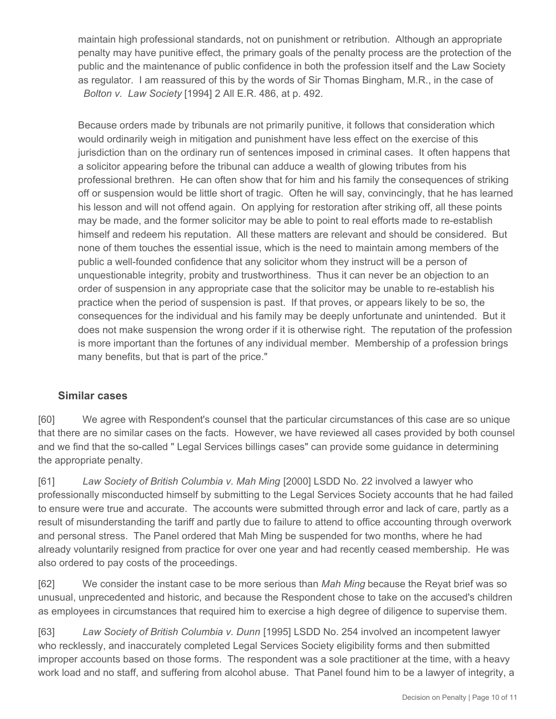maintain high professional standards, not on punishment or retribution. Although an appropriate penalty may have punitive effect, the primary goals of the penalty process are the protection of the public and the maintenance of public confidence in both the profession itself and the Law Society as regulator. I am reassured of this by the words of Sir Thomas Bingham, M.R., in the case of *Bolton v. Law Society* [1994] 2 All E.R. 486, at p. 492.

Because orders made by tribunals are not primarily punitive, it follows that consideration which would ordinarily weigh in mitigation and punishment have less effect on the exercise of this jurisdiction than on the ordinary run of sentences imposed in criminal cases. It often happens that a solicitor appearing before the tribunal can adduce a wealth of glowing tributes from his professional brethren. He can often show that for him and his family the consequences of striking off or suspension would be little short of tragic. Often he will say, convincingly, that he has learned his lesson and will not offend again. On applying for restoration after striking off, all these points may be made, and the former solicitor may be able to point to real efforts made to re-establish himself and redeem his reputation. All these matters are relevant and should be considered. But none of them touches the essential issue, which is the need to maintain among members of the public a well-founded confidence that any solicitor whom they instruct will be a person of unquestionable integrity, probity and trustworthiness. Thus it can never be an objection to an order of suspension in any appropriate case that the solicitor may be unable to re-establish his practice when the period of suspension is past. If that proves, or appears likely to be so, the consequences for the individual and his family may be deeply unfortunate and unintended. But it does not make suspension the wrong order if it is otherwise right. The reputation of the profession is more important than the fortunes of any individual member. Membership of a profession brings many benefits, but that is part of the price."

#### **Similar cases**

[60] We agree with Respondent's counsel that the particular circumstances of this case are so unique that there are no similar cases on the facts. However, we have reviewed all cases provided by both counsel and we find that the so-called " Legal Services billings cases" can provide some guidance in determining the appropriate penalty.

[61] *Law Society of British Columbia v. Mah Ming* [2000] LSDD No. 22 involved a lawyer who professionally misconducted himself by submitting to the Legal Services Society accounts that he had failed to ensure were true and accurate. The accounts were submitted through error and lack of care, partly as a result of misunderstanding the tariff and partly due to failure to attend to office accounting through overwork and personal stress. The Panel ordered that Mah Ming be suspended for two months, where he had already voluntarily resigned from practice for over one year and had recently ceased membership. He was also ordered to pay costs of the proceedings.

[62] We consider the instant case to be more serious than *Mah Ming* because the Reyat brief was so unusual, unprecedented and historic, and because the Respondent chose to take on the accused's children as employees in circumstances that required him to exercise a high degree of diligence to supervise them.

[63] *Law Society of British Columbia v. Dunn* [1995] LSDD No. 254 involved an incompetent lawyer who recklessly, and inaccurately completed Legal Services Society eligibility forms and then submitted improper accounts based on those forms. The respondent was a sole practitioner at the time, with a heavy work load and no staff, and suffering from alcohol abuse. That Panel found him to be a lawyer of integrity, a